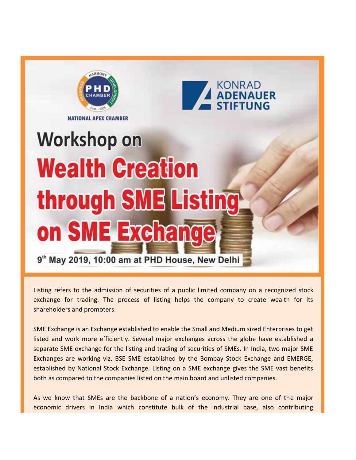



**NATIONAL APEX CHAMBER** 

# **Workshop on Wealth Creation** through SME Listing on SME Exchange

9th May 2019, 10:00 am at PHD House, New Delhi

Listing refers to the admission of securities of a public limited company on a recognized stock exchange for trading. The process of listing helps the company to create wealth for its shareholders and promoters.

SME Exchange is an Exchange established to enable the Small and Medium sized Enterprises to get listed and work more efficiently. Several major exchanges across the globe have established a separate SME exchange for the listing and trading of securities of SMEs. In India, two major SME Exchanges are working viz. BSE SME established by the Bombay Stock Exchange and EMERGE, established by National Stock Exchange. Listing on a SME exchange gives the SME vast benefits both as compared to the companies listed on the main board and unlisted companies.

As we know that SMEs are the backbone of a nation's economy. They are one of the major economic drivers in India which constitute bulk of the industrial base, also contributing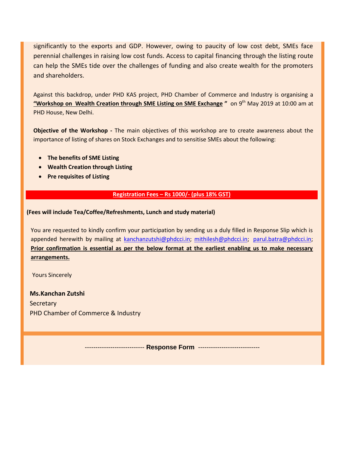significantly to the exports and GDP. However, owing to paucity of low cost debt, SMEs face perennial challenges in raising low cost funds. Access to capital financing through the listing route can help the SMEs tide over the challenges of funding and also create wealth for the promoters and shareholders.

Against this backdrop, under PHD KAS project, PHD Chamber of Commerce and Industry is organising a **"Workshop on Wealth Creation through SME Listing on SME Exchange "** on 9th May 2019 at 10:00 am at PHD House, New Delhi.

**Objective of the Workshop -** The main objectives of this workshop are to create awareness about the importance of listing of shares on Stock Exchanges and to sensitise SMEs about the following:

- **The benefits of SME Listing**
- **Wealth Creation through Listing**
- **•** Pre requisites of Listing

#### **Registration Fees – Rs 1000/- (plus 18% GST)**

#### **(Fees will include Tea/Coffee/Refreshments, Lunch and study material)**

You are requested to kindly confirm your participation by sending us a duly filled in Response Slip which is appended herewith by mailing at [kanchanzutshi@phdcci.in;](mailto:kanchanzutshi@phdcci.in) [mithilesh@phdcci.in;](mailto:mithilesh@phdcci.in) [parul.batra@phdcci.in;](mailto:parul.batra@phdcci.in) **Prior confirmation is essential as per the below format at the earliest enabling us to make necessary arrangements.** 

Yours Sincerely

**Ms.Kanchan Zutshi Secretary** PHD Chamber of Commerce & Industry

---------------------------- **Response Form** -----------------------------